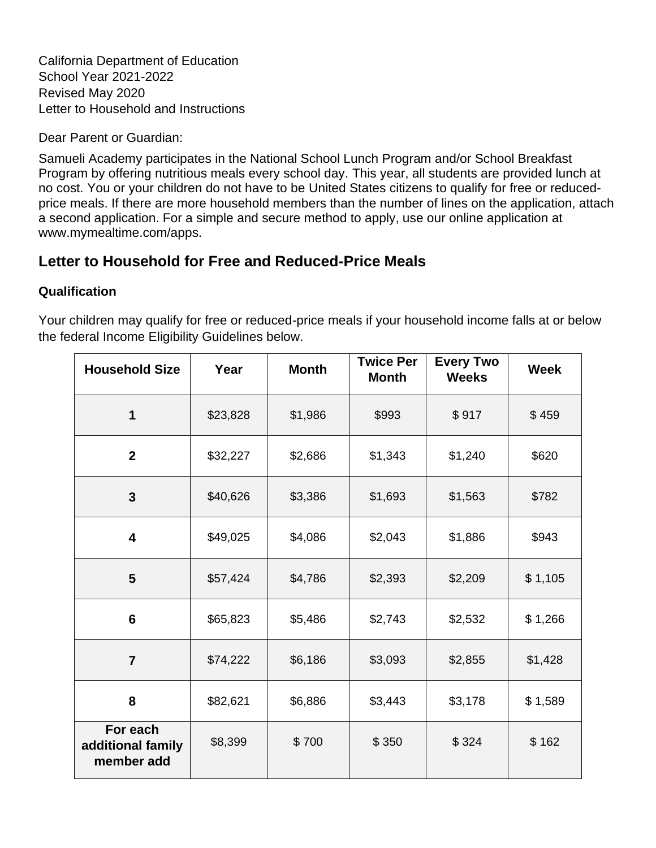California Department of Education School Year 2021-2022 Revised May 2020 Letter to Household and Instructions

Dear Parent or Guardian:

Samueli Academy participates in the National School Lunch Program and/or School Breakfast Program by offering nutritious meals every school day. This year, all students are provided lunch at no cost. You or your children do not have to be United States citizens to qualify for free or reducedprice meals. If there are more household members than the number of lines on the application, attach a second application. For a simple and secure method to apply, use our online application at www.mymealtime.com/apps.

# **Letter to Household for Free and Reduced-Price Meals**

#### **Qualification**

Your children may qualify for free or reduced-price meals if your household income falls at or below the federal Income Eligibility Guidelines below.

| <b>Household Size</b>                       | Year     | <b>Month</b> | <b>Twice Per</b><br><b>Month</b> | <b>Every Two</b><br><b>Weeks</b> | <b>Week</b> |
|---------------------------------------------|----------|--------------|----------------------------------|----------------------------------|-------------|
| 1                                           | \$23,828 | \$1,986      | \$993                            | \$917                            | \$459       |
| $\mathbf{2}$                                | \$32,227 | \$2,686      | \$1,343                          | \$1,240                          | \$620       |
| $\mathbf{3}$                                | \$40,626 | \$3,386      | \$1,693                          | \$1,563                          | \$782       |
| $\overline{\mathbf{4}}$                     | \$49,025 | \$4,086      | \$2,043                          | \$1,886                          | \$943       |
| 5                                           | \$57,424 | \$4,786      | \$2,393                          | \$2,209                          | \$1,105     |
| $6\phantom{1}6$                             | \$65,823 | \$5,486      | \$2,743                          | \$2,532                          | \$1,266     |
| $\overline{7}$                              | \$74,222 | \$6,186      | \$3,093                          | \$2,855                          | \$1,428     |
| 8                                           | \$82,621 | \$6,886      | \$3,443                          | \$3,178                          | \$1,589     |
| For each<br>additional family<br>member add | \$8,399  | \$700        | \$350                            | \$324                            | \$162       |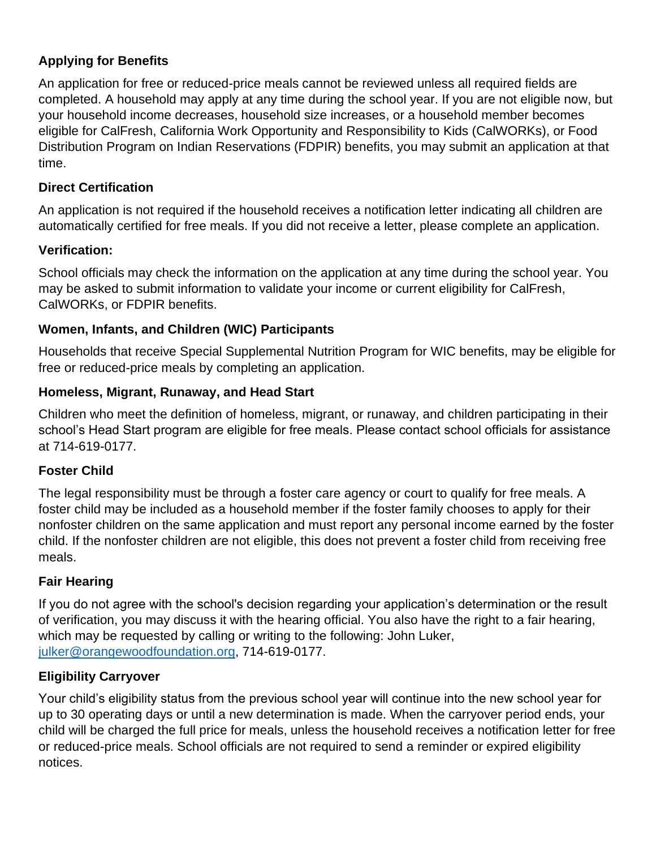## **Applying for Benefits**

An application for free or reduced-price meals cannot be reviewed unless all required fields are completed. A household may apply at any time during the school year. If you are not eligible now, but your household income decreases, household size increases, or a household member becomes eligible for CalFresh, California Work Opportunity and Responsibility to Kids (CalWORKs), or Food Distribution Program on Indian Reservations (FDPIR) benefits, you may submit an application at that time.

## **Direct Certification**

An application is not required if the household receives a notification letter indicating all children are automatically certified for free meals. If you did not receive a letter, please complete an application.

## **Verification:**

School officials may check the information on the application at any time during the school year. You may be asked to submit information to validate your income or current eligibility for CalFresh, CalWORKs, or FDPIR benefits.

## **Women, Infants, and Children (WIC) Participants**

Households that receive Special Supplemental Nutrition Program for WIC benefits, may be eligible for free or reduced-price meals by completing an application.

## **Homeless, Migrant, Runaway, and Head Start**

Children who meet the definition of homeless, migrant, or runaway, and children participating in their school's Head Start program are eligible for free meals. Please contact school officials for assistance at 714-619-0177.

## **Foster Child**

The legal responsibility must be through a foster care agency or court to qualify for free meals. A foster child may be included as a household member if the foster family chooses to apply for their nonfoster children on the same application and must report any personal income earned by the foster child. If the nonfoster children are not eligible, this does not prevent a foster child from receiving free meals.

## **Fair Hearing**

If you do not agree with the school's decision regarding your application's determination or the result of verification, you may discuss it with the hearing official. You also have the right to a fair hearing, which may be requested by calling or writing to the following: John Luker, [julker@orangewoodfoundation.org,](mailto:julker@orangewoodfoundation.org) 714-619-0177.

## **Eligibility Carryover**

Your child's eligibility status from the previous school year will continue into the new school year for up to 30 operating days or until a new determination is made. When the carryover period ends, your child will be charged the full price for meals, unless the household receives a notification letter for free or reduced-price meals. School officials are not required to send a reminder or expired eligibility notices.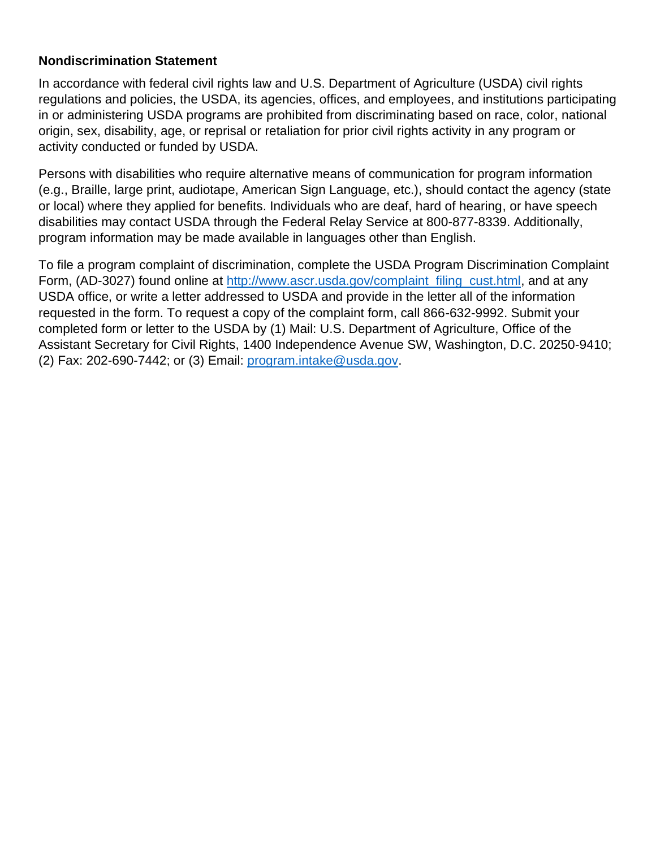#### **Nondiscrimination Statement**

In accordance with federal civil rights law and U.S. Department of Agriculture (USDA) civil rights regulations and policies, the USDA, its agencies, offices, and employees, and institutions participating in or administering USDA programs are prohibited from discriminating based on race, color, national origin, sex, disability, age, or reprisal or retaliation for prior civil rights activity in any program or activity conducted or funded by USDA.

Persons with disabilities who require alternative means of communication for program information (e.g., Braille, large print, audiotape, American Sign Language, etc.), should contact the agency (state or local) where they applied for benefits. Individuals who are deaf, hard of hearing, or have speech disabilities may contact USDA through the Federal Relay Service at 800-877-8339. Additionally, program information may be made available in languages other than English.

To file a program complaint of discrimination, complete the USDA Program Discrimination Complaint Form, (AD-3027) found online at [http://www.ascr.usda.gov/complaint\\_filing\\_cust.html,](http://www.ascr.usda.gov/complaint_filing_cust.html) and at any USDA office, or write a letter addressed to USDA and provide in the letter all of the information requested in the form. To request a copy of the complaint form, call 866-632-9992. Submit your completed form or letter to the USDA by (1) Mail: U.S. Department of Agriculture, Office of the Assistant Secretary for Civil Rights, 1400 Independence Avenue SW, Washington, D.C. 20250-9410; (2) Fax: 202-690-7442; or (3) Email: [program.intake@usda.gov.](mailto:program.intake@usda.gov)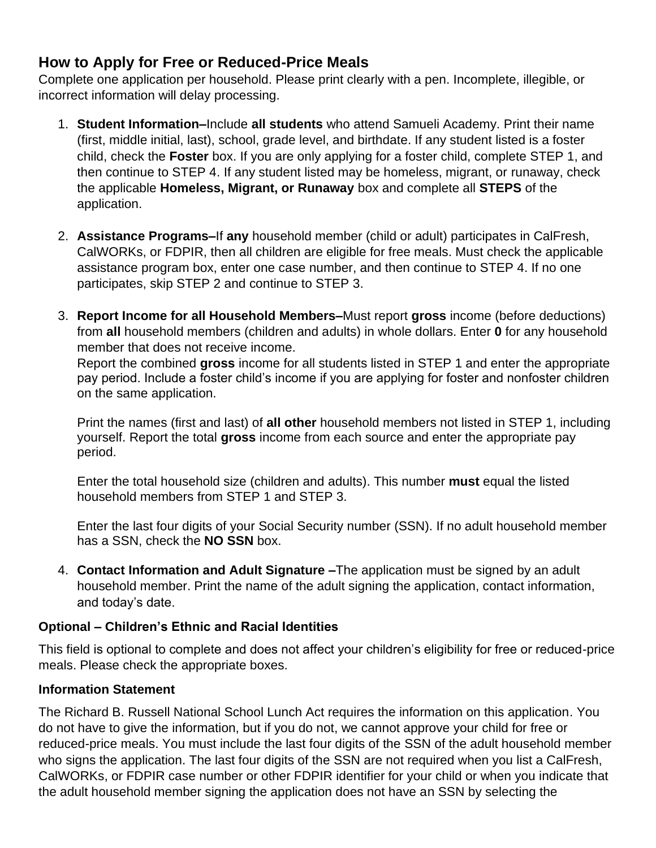## **How to Apply for Free or Reduced-Price Meals**

Complete one application per household. Please print clearly with a pen. Incomplete, illegible, or incorrect information will delay processing.

- 1. **Student Information–**Include **all students** who attend Samueli Academy. Print their name (first, middle initial, last), school, grade level, and birthdate. If any student listed is a foster child, check the **Foster** box. If you are only applying for a foster child, complete STEP 1, and then continue to STEP 4. If any student listed may be homeless, migrant, or runaway, check the applicable **Homeless, Migrant, or Runaway** box and complete all **STEPS** of the application.
- 2. **Assistance Programs–**If **any** household member (child or adult) participates in CalFresh, CalWORKs, or FDPIR, then all children are eligible for free meals. Must check the applicable assistance program box, enter one case number, and then continue to STEP 4. If no one participates, skip STEP 2 and continue to STEP 3.
- 3. **Report Income for all Household Members–**Must report **gross** income (before deductions) from **all** household members (children and adults) in whole dollars. Enter **0** for any household member that does not receive income.

Report the combined **gross** income for all students listed in STEP 1 and enter the appropriate pay period. Include a foster child's income if you are applying for foster and nonfoster children on the same application.

Print the names (first and last) of **all other** household members not listed in STEP 1, including yourself. Report the total **gross** income from each source and enter the appropriate pay period.

Enter the total household size (children and adults). This number **must** equal the listed household members from STEP 1 and STEP 3.

Enter the last four digits of your Social Security number (SSN). If no adult household member has a SSN, check the **NO SSN** box.

4. **Contact Information and Adult Signature –**The application must be signed by an adult household member. Print the name of the adult signing the application, contact information, and today's date.

#### **Optional – Children's Ethnic and Racial Identities**

This field is optional to complete and does not affect your children's eligibility for free or reduced-price meals. Please check the appropriate boxes.

#### **Information Statement**

The Richard B. Russell National School Lunch Act requires the information on this application. You do not have to give the information, but if you do not, we cannot approve your child for free or reduced-price meals. You must include the last four digits of the SSN of the adult household member who signs the application. The last four digits of the SSN are not required when you list a CalFresh, CalWORKs, or FDPIR case number or other FDPIR identifier for your child or when you indicate that the adult household member signing the application does not have an SSN by selecting the